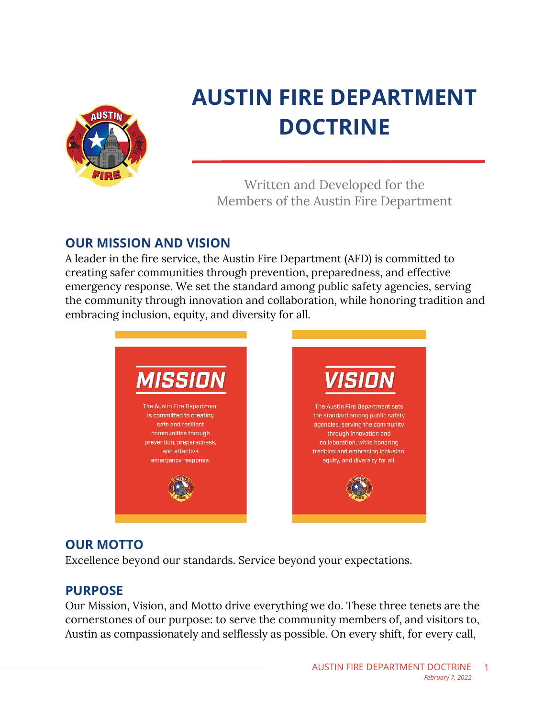

# **AUSTIN FIRE DEPARTMENT DOCTRINE**

Written and Developed for the Members of the Austin Fire Department

# **OUR MISSION AND VISION**

A leader in the fire service, the Austin Fire Department (AFD) is committed to creating safer communities through prevention, preparedness, and effective emergency response. We set the standard among public safety agencies, serving the community through innovation and collaboration, while honoring tradition and embracing inclusion, equity, and diversity for all.



## **OUR MOTTO**

Excellence beyond our standards. Service beyond your expectations.

### **PURPOSE**

Our Mission, Vision, and Motto drive everything we do. These three tenets are the cornerstones of our purpose: to serve the community members of, and visitors to, Austin as compassionately and selflessly as possible. On every shift, for every call,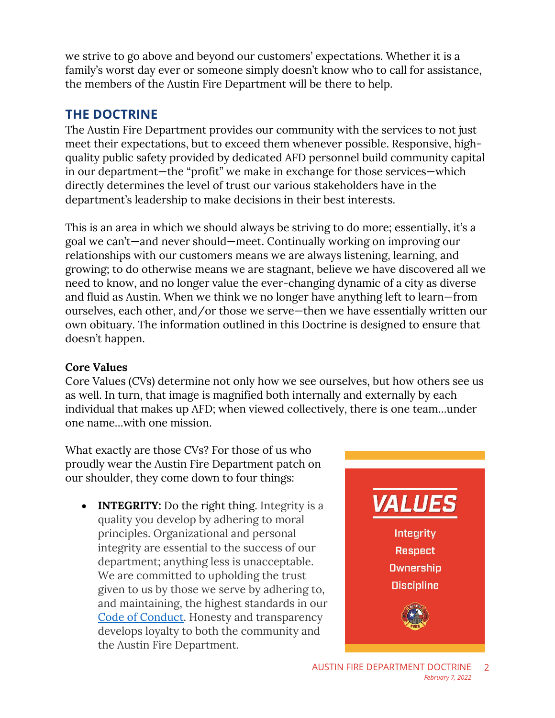we strive to go above and beyond our customers' expectations. Whether it is a family's worst day ever or someone simply doesn't know who to call for assistance, the members of the Austin Fire Department will be there to help.

## **THE DOCTRINE**

The Austin Fire Department provides our community with the services to not just meet their expectations, but to exceed them whenever possible. Responsive, highquality public safety provided by dedicated AFD personnel build community capital in our department—the "profit" we make in exchange for those services—which directly determines the level of trust our various stakeholders have in the department's leadership to make decisions in their best interests.

This is an area in which we should always be striving to do more; essentially, it's a goal we can't—and never should—meet. Continually working on improving our relationships with our customers means we are always listening, learning, and growing; to do otherwise means we are stagnant, believe we have discovered all we need to know, and no longer value the ever-changing dynamic of a city as diverse and fluid as Austin. When we think we no longer have anything left to learn—from ourselves, each other, and/or those we serve—then we have essentially written our own obituary. The information outlined in this Doctrine is designed to ensure that doesn't happen.

#### **Core Values**

Core Values (CVs) determine not only how we see ourselves, but how others see us as well. In turn, that image is magnified both internally and externally by each individual that makes up AFD; when viewed collectively, there is one team…under one name…with one mission.

What exactly are those CVs? For those of us who proudly wear the Austin Fire Department patch on our shoulder, they come down to four things:

• **INTEGRITY:** Do the right thing. Integrity is a quality you develop by adhering to moral principles. Organizational and personal integrity are essential to the success of our department; anything less is unacceptable. We are committed to upholding the trust given to us by those we serve by adhering to, and maintaining, the highest standards in our [Code of Conduct.](https://powerdms.com/docs/203?q=code%20of%20conduct) Honesty and transparency develops loyalty to both the community and the Austin Fire Department.

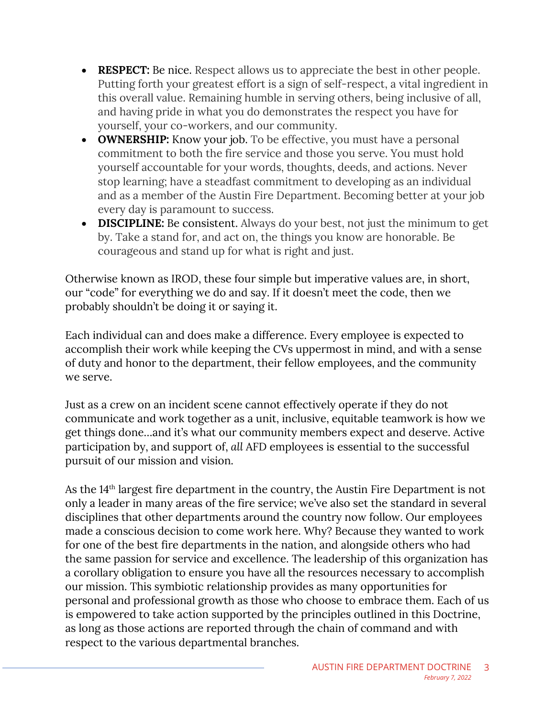- **RESPECT:** Be nice. Respect allows us to appreciate the best in other people. Putting forth your greatest effort is a sign of self-respect, a vital ingredient in this overall value. Remaining humble in serving others, being inclusive of all, and having pride in what you do demonstrates the respect you have for yourself, your co-workers, and our community.
- **OWNERSHIP:** Know your job. To be effective, you must have a personal commitment to both the fire service and those you serve. You must hold yourself accountable for your words, thoughts, deeds, and actions. Never stop learning; have a steadfast commitment to developing as an individual and as a member of the Austin Fire Department. Becoming better at your job every day is paramount to success.
- **DISCIPLINE:** Be consistent. Always do your best, not just the minimum to get by. Take a stand for, and act on, the things you know are honorable. Be courageous and stand up for what is right and just.

Otherwise known as IROD, these four simple but imperative values are, in short, our "code" for everything we do and say. If it doesn't meet the code, then we probably shouldn't be doing it or saying it.

Each individual can and does make a difference. Every employee is expected to accomplish their work while keeping the CVs uppermost in mind, and with a sense of duty and honor to the department, their fellow employees, and the community we serve.

Just as a crew on an incident scene cannot effectively operate if they do not communicate and work together as a unit, inclusive, equitable teamwork is how we get things done…and it's what our community members expect and deserve. Active participation by, and support of, *all* AFD employees is essential to the successful pursuit of our mission and vision.

As the 14<sup>th</sup> largest fire department in the country, the Austin Fire Department is not only a leader in many areas of the fire service; we've also set the standard in several disciplines that other departments around the country now follow. Our employees made a conscious decision to come work here. Why? Because they wanted to work for one of the best fire departments in the nation, and alongside others who had the same passion for service and excellence. The leadership of this organization has a corollary obligation to ensure you have all the resources necessary to accomplish our mission. This symbiotic relationship provides as many opportunities for personal and professional growth as those who choose to embrace them. Each of us is empowered to take action supported by the principles outlined in this Doctrine, as long as those actions are reported through the chain of command and with respect to the various departmental branches.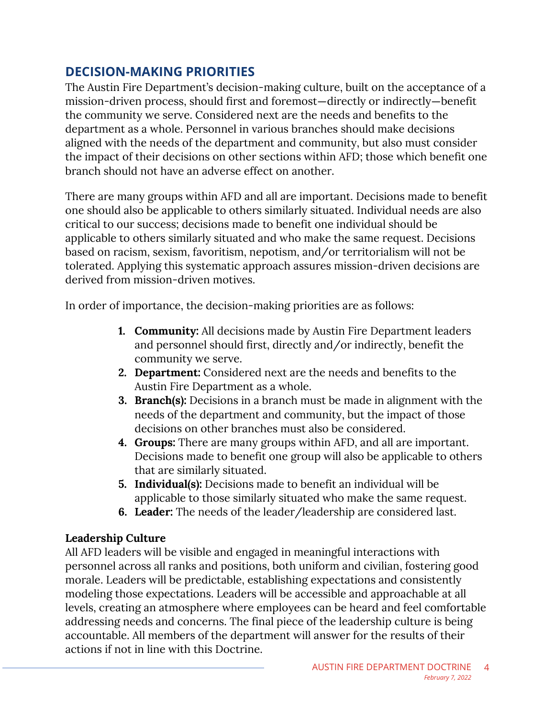## **DECISION-MAKING PRIORITIES**

The Austin Fire Department's decision-making culture, built on the acceptance of a mission-driven process, should first and foremost―directly or indirectly―benefit the community we serve. Considered next are the needs and benefits to the department as a whole. Personnel in various branches should make decisions aligned with the needs of the department and community, but also must consider the impact of their decisions on other sections within AFD; those which benefit one branch should not have an adverse effect on another.

There are many groups within AFD and all are important. Decisions made to benefit one should also be applicable to others similarly situated. Individual needs are also critical to our success; decisions made to benefit one individual should be applicable to others similarly situated and who make the same request. Decisions based on racism, sexism, favoritism, nepotism, and/or territorialism will not be tolerated. Applying this systematic approach assures mission-driven decisions are derived from mission-driven motives.

In order of importance, the decision-making priorities are as follows:

- **1. Community:** All decisions made by Austin Fire Department leaders and personnel should first, directly and/or indirectly, benefit the community we serve.
- **2. Department:** Considered next are the needs and benefits to the Austin Fire Department as a whole.
- **3. Branch(s):** Decisions in a branch must be made in alignment with the needs of the department and community, but the impact of those decisions on other branches must also be considered.
- **4. Groups:** There are many groups within AFD, and all are important. Decisions made to benefit one group will also be applicable to others that are similarly situated.
- **5. Individual(s):** Decisions made to benefit an individual will be applicable to those similarly situated who make the same request.
- **6. Leader:** The needs of the leader/leadership are considered last.

#### **Leadership Culture**

All AFD leaders will be visible and engaged in meaningful interactions with personnel across all ranks and positions, both uniform and civilian, fostering good morale. Leaders will be predictable, establishing expectations and consistently modeling those expectations. Leaders will be accessible and approachable at all levels, creating an atmosphere where employees can be heard and feel comfortable addressing needs and concerns. The final piece of the leadership culture is being accountable. All members of the department will answer for the results of their actions if not in line with this Doctrine.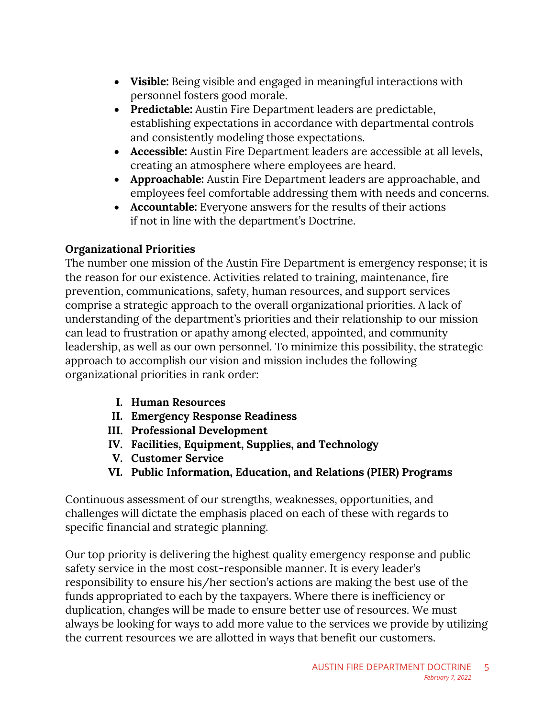- **Visible:** Being visible and engaged in meaningful interactions with personnel fosters good morale.
- **Predictable:** Austin Fire Department leaders are predictable, establishing expectations in accordance with departmental controls and consistently modeling those expectations.
- **Accessible:** Austin Fire Department leaders are accessible at all levels, creating an atmosphere where employees are heard.
- **Approachable:** Austin Fire Department leaders are approachable, and employees feel comfortable addressing them with needs and concerns.
- **Accountable:** Everyone answers for the results of their actions if not in line with the department's Doctrine.

#### **Organizational Priorities**

The number one mission of the Austin Fire Department is emergency response; it is the reason for our existence. Activities related to training, maintenance, fire prevention, communications, safety, human resources, and support services comprise a strategic approach to the overall organizational priorities. A lack of understanding of the department's priorities and their relationship to our mission can lead to frustration or apathy among elected, appointed, and community leadership, as well as our own personnel. To minimize this possibility, the strategic approach to accomplish our vision and mission includes the following organizational priorities in rank order:

- **I. Human Resources**
- **II. Emergency Response Readiness**
- **III. Professional Development**
- **IV. Facilities, Equipment, Supplies, and Technology**
- **V. Customer Service**
- **VI. Public Information, Education, and Relations (PIER) Programs**

Continuous assessment of our strengths, weaknesses, opportunities, and challenges will dictate the emphasis placed on each of these with regards to specific financial and strategic planning.

Our top priority is delivering the highest quality emergency response and public safety service in the most cost-responsible manner. It is every leader's responsibility to ensure his/her section's actions are making the best use of the funds appropriated to each by the taxpayers. Where there is inefficiency or duplication, changes will be made to ensure better use of resources. We must always be looking for ways to add more value to the services we provide by utilizing the current resources we are allotted in ways that benefit our customers.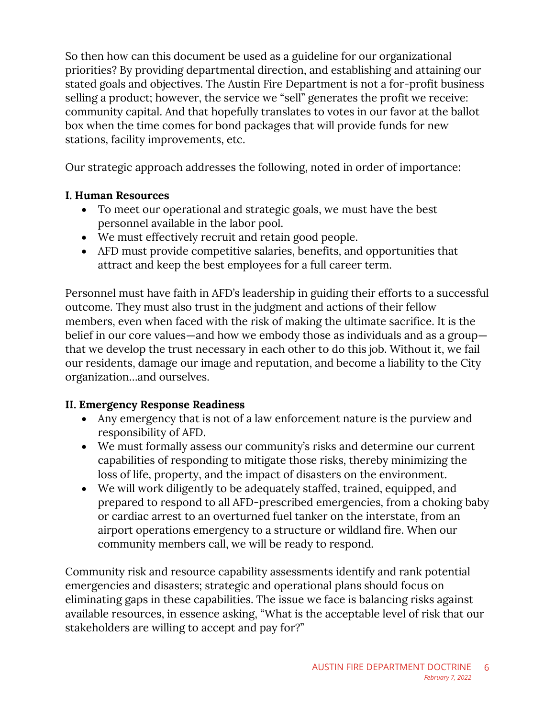So then how can this document be used as a guideline for our organizational priorities? By providing departmental direction, and establishing and attaining our stated goals and objectives. The Austin Fire Department is not a for-profit business selling a product; however, the service we "sell" generates the profit we receive: community capital. And that hopefully translates to votes in our favor at the ballot box when the time comes for bond packages that will provide funds for new stations, facility improvements, etc.

Our strategic approach addresses the following, noted in order of importance:

#### **I. Human Resources**

- To meet our operational and strategic goals, we must have the best personnel available in the labor pool.
- We must effectively recruit and retain good people.
- AFD must provide competitive salaries, benefits, and opportunities that attract and keep the best employees for a full career term.

Personnel must have faith in AFD's leadership in guiding their efforts to a successful outcome. They must also trust in the judgment and actions of their fellow members, even when faced with the risk of making the ultimate sacrifice. It is the belief in our core values―and how we embody those as individuals and as a group― that we develop the trust necessary in each other to do this job. Without it, we fail our residents, damage our image and reputation, and become a liability to the City organization…and ourselves.

#### **II. Emergency Response Readiness**

- Any emergency that is not of a law enforcement nature is the purview and responsibility of AFD.
- We must formally assess our community's risks and determine our current capabilities of responding to mitigate those risks, thereby minimizing the loss of life, property, and the impact of disasters on the environment.
- We will work diligently to be adequately staffed, trained, equipped, and prepared to respond to all AFD-prescribed emergencies, from a choking baby or cardiac arrest to an overturned fuel tanker on the interstate, from an airport operations emergency to a structure or wildland fire. When our community members call, we will be ready to respond.

Community risk and resource capability assessments identify and rank potential emergencies and disasters; strategic and operational plans should focus on eliminating gaps in these capabilities. The issue we face is balancing risks against available resources, in essence asking, "What is the acceptable level of risk that our stakeholders are willing to accept and pay for?"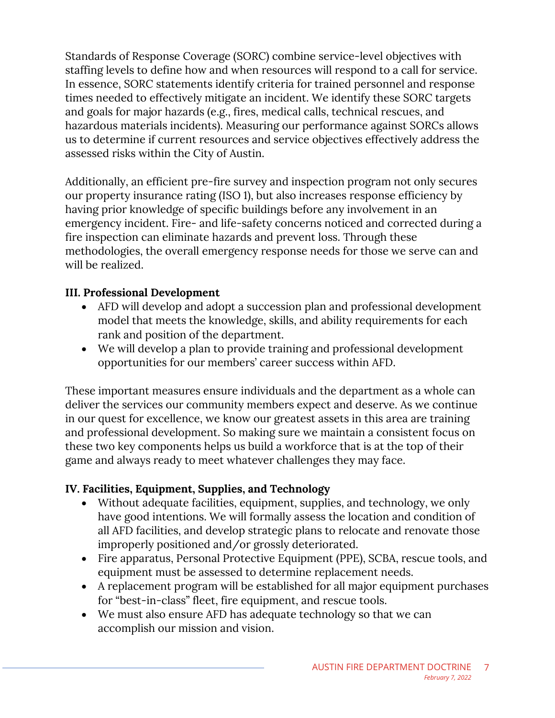Standards of Response Coverage (SORC) combine service-level objectives with staffing levels to define how and when resources will respond to a call for service. In essence, SORC statements identify criteria for trained personnel and response times needed to effectively mitigate an incident. We identify these SORC targets and goals for major hazards (e.g., fires, medical calls, technical rescues, and hazardous materials incidents). Measuring our performance against SORCs allows us to determine if current resources and service objectives effectively address the assessed risks within the City of Austin.

Additionally, an efficient pre-fire survey and inspection program not only secures our property insurance rating (ISO 1), but also increases response efficiency by having prior knowledge of specific buildings before any involvement in an emergency incident. Fire- and life-safety concerns noticed and corrected during a fire inspection can eliminate hazards and prevent loss. Through these methodologies, the overall emergency response needs for those we serve can and will be realized.

#### **III. Professional Development**

- AFD will develop and adopt a succession plan and professional development model that meets the knowledge, skills, and ability requirements for each rank and position of the department.
- We will develop a plan to provide training and professional development opportunities for our members' career success within AFD.

These important measures ensure individuals and the department as a whole can deliver the services our community members expect and deserve. As we continue in our quest for excellence, we know our greatest assets in this area are training and professional development. So making sure we maintain a consistent focus on these two key components helps us build a workforce that is at the top of their game and always ready to meet whatever challenges they may face.

#### **IV. Facilities, Equipment, Supplies, and Technology**

- Without adequate facilities, equipment, supplies, and technology, we only have good intentions. We will formally assess the location and condition of all AFD facilities, and develop strategic plans to relocate and renovate those improperly positioned and/or grossly deteriorated.
- Fire apparatus, Personal Protective Equipment (PPE), SCBA, rescue tools, and equipment must be assessed to determine replacement needs.
- A replacement program will be established for all major equipment purchases for "best-in-class" fleet, fire equipment, and rescue tools.
- We must also ensure AFD has adequate technology so that we can accomplish our mission and vision.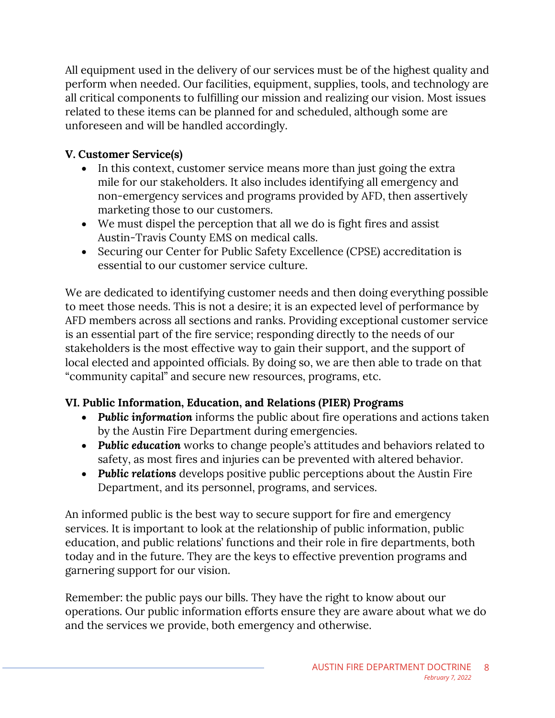All equipment used in the delivery of our services must be of the highest quality and perform when needed. Our facilities, equipment, supplies, tools, and technology are all critical components to fulfilling our mission and realizing our vision. Most issues related to these items can be planned for and scheduled, although some are unforeseen and will be handled accordingly.

#### **V. Customer Service(s)**

- In this context, customer service means more than just going the extra mile for our stakeholders. It also includes identifying all emergency and non-emergency services and programs provided by AFD, then assertively marketing those to our customers.
- We must dispel the perception that all we do is fight fires and assist Austin-Travis County EMS on medical calls.
- Securing our Center for Public Safety Excellence (CPSE) accreditation is essential to our customer service culture.

We are dedicated to identifying customer needs and then doing everything possible to meet those needs. This is not a desire; it is an expected level of performance by AFD members across all sections and ranks. Providing exceptional customer service is an essential part of the fire service; responding directly to the needs of our stakeholders is the most effective way to gain their support, and the support of local elected and appointed officials. By doing so, we are then able to trade on that "community capital" and secure new resources, programs, etc.

#### **VI. Public Information, Education, and Relations (PIER) Programs**

- *Public information* informs the public about fire operations and actions taken by the Austin Fire Department during emergencies.
- *Public education* works to change people's attitudes and behaviors related to safety, as most fires and injuries can be prevented with altered behavior.
- *Public relations* develops positive public perceptions about the Austin Fire Department, and its personnel, programs, and services.

An informed public is the best way to secure support for fire and emergency services. It is important to look at the relationship of public information, public education, and public relations' functions and their role in fire departments, both today and in the future. They are the keys to effective prevention programs and garnering support for our vision.

Remember: the public pays our bills. They have the right to know about our operations. Our public information efforts ensure they are aware about what we do and the services we provide, both emergency and otherwise.